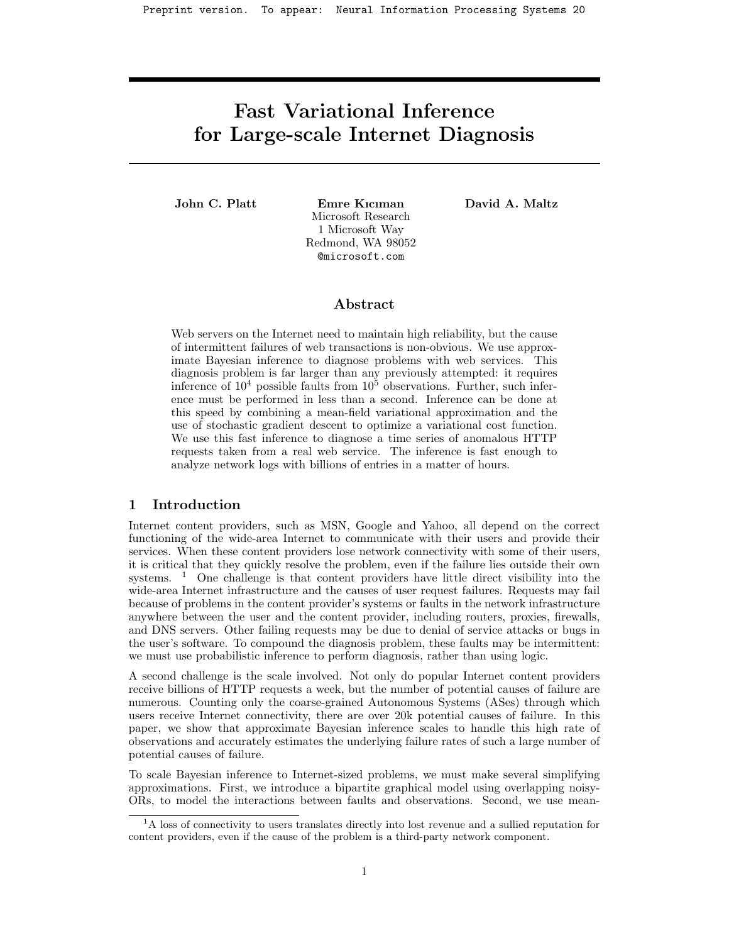Preprint version. To appear: Neural Information Processing Systems 20

# Fast Variational Inference for Large-scale Internet Diagnosis

John C. Platt Emre Kıcıman Microsoft Research 1 Microsoft Way Redmond, WA 98052 @microsoft.com

David A. Maltz

# Abstract

Web servers on the Internet need to maintain high reliability, but the cause of intermittent failures of web transactions is non-obvious. We use approximate Bayesian inference to diagnose problems with web services. This diagnosis problem is far larger than any previously attempted: it requires inference of  $10^4$  possible faults from  $10^5$  observations. Further, such inference must be performed in less than a second. Inference can be done at this speed by combining a mean-field variational approximation and the use of stochastic gradient descent to optimize a variational cost function. We use this fast inference to diagnose a time series of anomalous HTTP requests taken from a real web service. The inference is fast enough to analyze network logs with billions of entries in a matter of hours.

## 1 Introduction

Internet content providers, such as MSN, Google and Yahoo, all depend on the correct functioning of the wide-area Internet to communicate with their users and provide their services. When these content providers lose network connectivity with some of their users, it is critical that they quickly resolve the problem, even if the failure lies outside their own systems. <sup>1</sup> One challenge is that content providers have little direct visibility into the wide-area Internet infrastructure and the causes of user request failures. Requests may fail because of problems in the content provider's systems or faults in the network infrastructure anywhere between the user and the content provider, including routers, proxies, firewalls, and DNS servers. Other failing requests may be due to denial of service attacks or bugs in the user's software. To compound the diagnosis problem, these faults may be intermittent: we must use probabilistic inference to perform diagnosis, rather than using logic.

A second challenge is the scale involved. Not only do popular Internet content providers receive billions of HTTP requests a week, but the number of potential causes of failure are numerous. Counting only the coarse-grained Autonomous Systems (ASes) through which users receive Internet connectivity, there are over 20k potential causes of failure. In this paper, we show that approximate Bayesian inference scales to handle this high rate of observations and accurately estimates the underlying failure rates of such a large number of potential causes of failure.

To scale Bayesian inference to Internet-sized problems, we must make several simplifying approximations. First, we introduce a bipartite graphical model using overlapping noisy-ORs, to model the interactions between faults and observations. Second, we use mean-

<sup>&</sup>lt;sup>1</sup>A loss of connectivity to users translates directly into lost revenue and a sullied reputation for content providers, even if the cause of the problem is a third-party network component.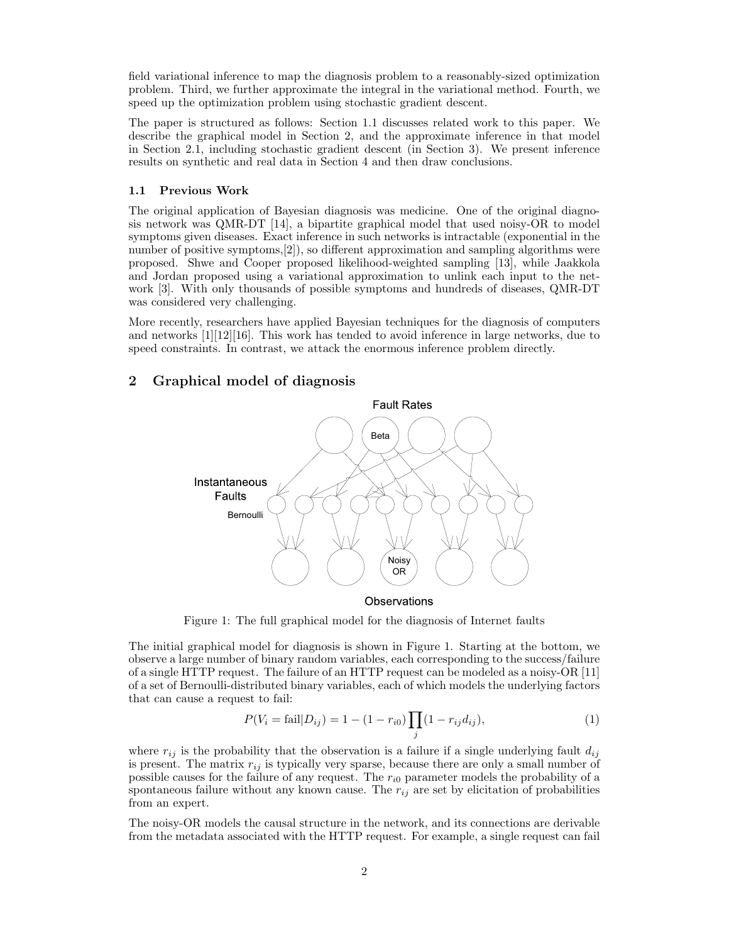field variational inference to map the diagnosis problem to a reasonably-sized optimization problem. Third, we further approximate the integral in the variational method. Fourth, we speed up the optimization problem using stochastic gradient descent.

The paper is structured as follows: Section 1.1 discusses related work to this paper. We describe the graphical model in Section 2, and the approximate inference in that model in Section 2.1, including stochastic gradient descent (in Section 3). We present inference results on synthetic and real data in Section 4 and then draw conclusions.

#### 1.1 Previous Work

The original application of Bayesian diagnosis was medicine. One of the original diagnosis network was QMR-DT [14], a bipartite graphical model that used noisy-OR to model symptoms given diseases. Exact inference in such networks is intractable (exponential in the number of positive symptoms,[2]), so different approximation and sampling algorithms were proposed. Shwe and Cooper proposed likelihood-weighted sampling [13], while Jaakkola and Jordan proposed using a variational approximation to unlink each input to the network [3]. With only thousands of possible symptoms and hundreds of diseases, QMR-DT was considered very challenging.

More recently, researchers have applied Bayesian techniques for the diagnosis of computers and networks  $[1][12][16]$ . This work has tended to avoid inference in large networks, due to speed constraints. In contrast, we attack the enormous inference problem directly.

## 2 Graphical model of diagnosis



Figure 1: The full graphical model for the diagnosis of Internet faults

The initial graphical model for diagnosis is shown in Figure 1. Starting at the bottom, we observe a large number of binary random variables, each corresponding to the success/failure of a single HTTP request. The failure of an HTTP request can be modeled as a noisy-OR [11] of a set of Bernoulli-distributed binary variables, each of which models the underlying factors that can cause a request to fail:

$$
P(V_i = \text{fail}|D_{ij}) = 1 - (1 - r_{i0}) \prod_j (1 - r_{ij} d_{ij}),
$$
\n(1)

where  $r_{ij}$  is the probability that the observation is a failure if a single underlying fault  $d_{ij}$ is present. The matrix  $r_{ij}$  is typically very sparse, because there are only a small number of possible causes for the failure of any request. The  $r_{i0}$  parameter models the probability of a spontaneous failure without any known cause. The  $r_{ij}$  are set by elicitation of probabilities from an expert.

The noisy-OR models the causal structure in the network, and its connections are derivable from the metadata associated with the HTTP request. For example, a single request can fail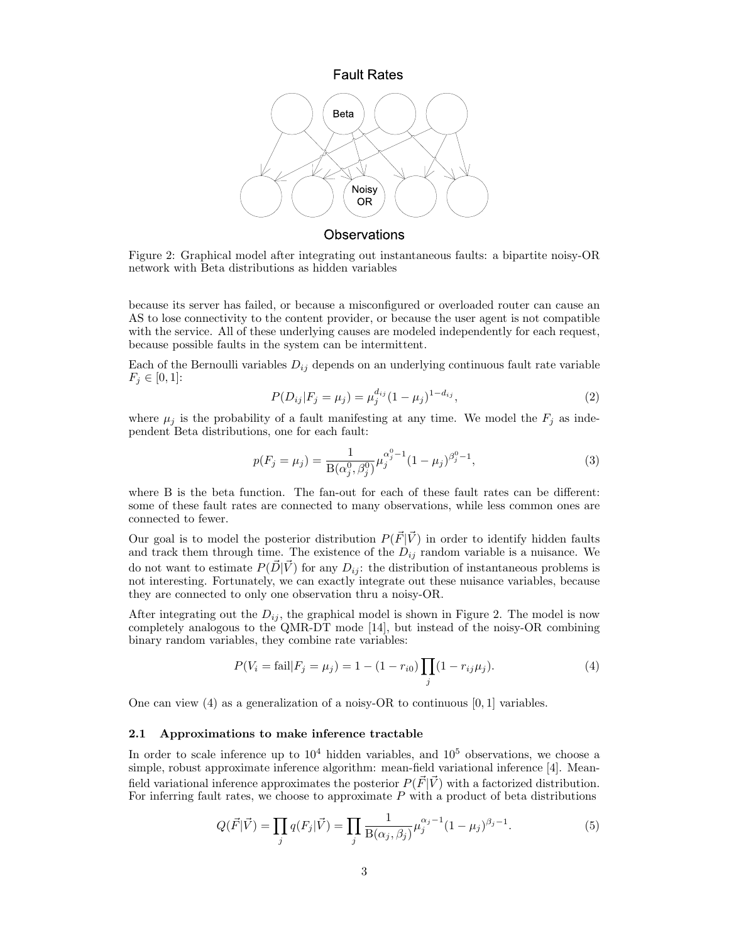

Figure 2: Graphical model after integrating out instantaneous faults: a bipartite noisy-OR network with Beta distributions as hidden variables

because its server has failed, or because a misconfigured or overloaded router can cause an AS to lose connectivity to the content provider, or because the user agent is not compatible with the service. All of these underlying causes are modeled independently for each request, because possible faults in the system can be intermittent.

Each of the Bernoulli variables  $D_{ij}$  depends on an underlying continuous fault rate variable  $F_j \in [0,1]$ :

$$
P(D_{ij}|F_j = \mu_j) = \mu_j^{d_{ij}} (1 - \mu_j)^{1 - d_{ij}},
$$
\n(2)

where  $\mu_j$  is the probability of a fault manifesting at any time. We model the  $F_j$  as independent Beta distributions, one for each fault:

$$
p(F_j = \mu_j) = \frac{1}{B(\alpha_j^0, \beta_j^0)} \mu_j^{\alpha_j^0 - 1} (1 - \mu_j)^{\beta_j^0 - 1},
$$
\n(3)

where B is the beta function. The fan-out for each of these fault rates can be different: some of these fault rates are connected to many observations, while less common ones are connected to fewer.

Our goal is to model the posterior distribution  $P(\vec{F}|\vec{V})$  in order to identify hidden faults and track them through time. The existence of the  $D_{ij}$  random variable is a nuisance. We do not want to estimate  $P(\vec{D}|\vec{V})$  for any  $D_{ij}$ : the distribution of instantaneous problems is not interesting. Fortunately, we can exactly integrate out these nuisance variables, because they are connected to only one observation thru a noisy-OR.

After integrating out the  $D_{ij}$ , the graphical model is shown in Figure 2. The model is now completely analogous to the QMR-DT mode [14], but instead of the noisy-OR combining binary random variables, they combine rate variables:

$$
P(V_i = \text{fail}|F_j = \mu_j) = 1 - (1 - r_{i0}) \prod_j (1 - r_{ij}\mu_j).
$$
\n(4)

One can view (4) as a generalization of a noisy-OR to continuous  $[0, 1]$  variables.

#### 2.1 Approximations to make inference tractable

In order to scale inference up to  $10^4$  hidden variables, and  $10^5$  observations, we choose a simple, robust approximate inference algorithm: mean-field variational inference [4]. Meanfield variational inference approximates the posterior  $P(\vec{F} | \vec{V})$  with a factorized distribution. For inferring fault rates, we choose to approximate  $P$  with a product of beta distributions

$$
Q(\vec{F}|\vec{V}) = \prod_{j} q(F_j|\vec{V}) = \prod_{j} \frac{1}{B(\alpha_j, \beta_j)} \mu_j^{\alpha_j - 1} (1 - \mu_j)^{\beta_j - 1}.
$$
 (5)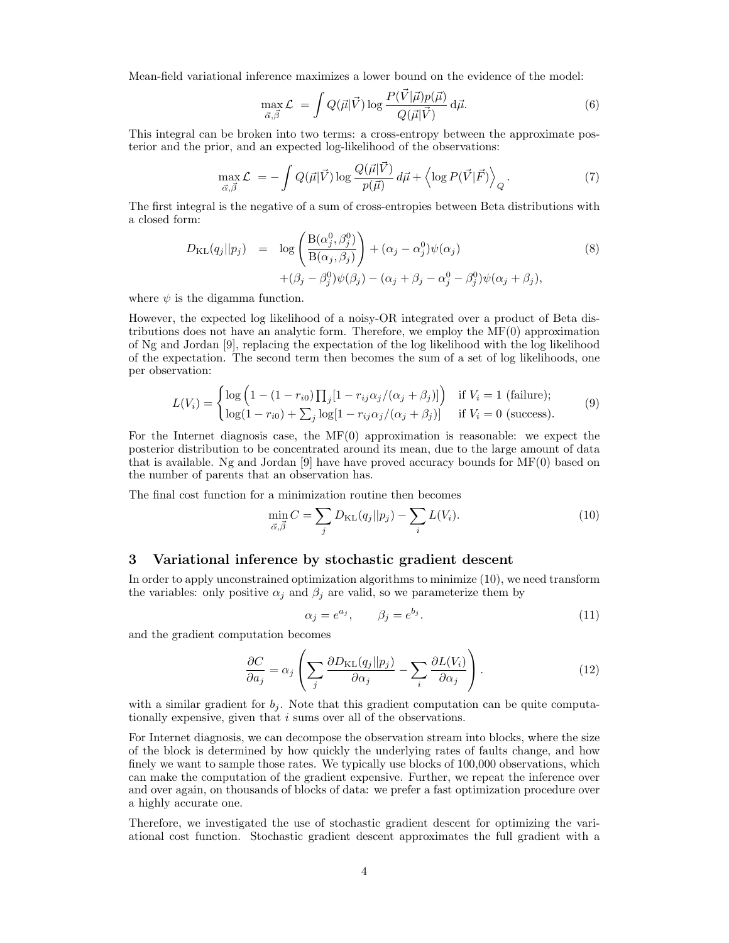Mean-field variational inference maximizes a lower bound on the evidence of the model:

$$
\max_{\vec{\alpha}, \vec{\beta}} \mathcal{L} = \int Q(\vec{\mu} | \vec{V}) \log \frac{P(\vec{V} | \vec{\mu}) p(\vec{\mu})}{Q(\vec{\mu} | \vec{V})} d\vec{\mu}.
$$
\n(6)

This integral can be broken into two terms: a cross-entropy between the approximate posterior and the prior, and an expected log-likelihood of the observations:

$$
\max_{\vec{\alpha},\vec{\beta}} \mathcal{L} = -\int Q(\vec{\mu}|\vec{V}) \log \frac{Q(\vec{\mu}|\vec{V})}{p(\vec{\mu})} d\vec{\mu} + \left\langle \log P(\vec{V}|\vec{F}) \right\rangle_{Q}.
$$
\n(7)

The first integral is the negative of a sum of cross-entropies between Beta distributions with a closed form:

$$
D_{\text{KL}}(q_j||p_j) = \log \left( \frac{\text{B}(\alpha_j^0, \beta_j^0)}{\text{B}(\alpha_j, \beta_j)} \right) + (\alpha_j - \alpha_j^0)\psi(\alpha_j) + (\beta_j - \beta_j^0)\psi(\beta_j) - (\alpha_j + \beta_j - \alpha_j^0 - \beta_j^0)\psi(\alpha_j + \beta_j),
$$
\n(8)

where  $\psi$  is the digamma function.

However, the expected log likelihood of a noisy-OR integrated over a product of Beta distributions does not have an analytic form. Therefore, we employ the MF(0) approximation of Ng and Jordan [9], replacing the expectation of the log likelihood with the log likelihood of the expectation. The second term then becomes the sum of a set of log likelihoods, one per observation:

$$
L(V_i) = \begin{cases} \log\left(1 - (1 - r_{i0})\prod_j[1 - r_{ij}\alpha_j/(\alpha_j + \beta_j)]\right) & \text{if } V_i = 1 \text{ (failure)}; \\ \log(1 - r_{i0}) + \sum_j \log[1 - r_{ij}\alpha_j/(\alpha_j + \beta_j)] & \text{if } V_i = 0 \text{ (success)}. \end{cases}
$$
(9)

For the Internet diagnosis case, the  $MF(0)$  approximation is reasonable: we expect the posterior distribution to be concentrated around its mean, due to the large amount of data that is available. Ng and Jordan [9] have have proved accuracy bounds for MF(0) based on the number of parents that an observation has.

The final cost function for a minimization routine then becomes

$$
\min_{\vec{\alpha}, \vec{\beta}} C = \sum_{j} D_{\text{KL}}(q_j || p_j) - \sum_{i} L(V_i). \tag{10}
$$

# 3 Variational inference by stochastic gradient descent

In order to apply unconstrained optimization algorithms to minimize (10), we need transform the variables: only positive  $\alpha_j$  and  $\beta_j$  are valid, so we parameterize them by

$$
\alpha_j = e^{a_j}, \qquad \beta_j = e^{b_j}.
$$
\n(11)

and the gradient computation becomes

$$
\frac{\partial C}{\partial a_j} = \alpha_j \left( \sum_j \frac{\partial D_{\text{KL}}(q_j || p_j)}{\partial \alpha_j} - \sum_i \frac{\partial L(V_i)}{\partial \alpha_j} \right). \tag{12}
$$

with a similar gradient for  $b_j$ . Note that this gradient computation can be quite computationally expensive, given that i sums over all of the observations.

For Internet diagnosis, we can decompose the observation stream into blocks, where the size of the block is determined by how quickly the underlying rates of faults change, and how finely we want to sample those rates. We typically use blocks of  $100,000$  observations, which can make the computation of the gradient expensive. Further, we repeat the inference over and over again, on thousands of blocks of data: we prefer a fast optimization procedure over a highly accurate one.

Therefore, we investigated the use of stochastic gradient descent for optimizing the variational cost function. Stochastic gradient descent approximates the full gradient with a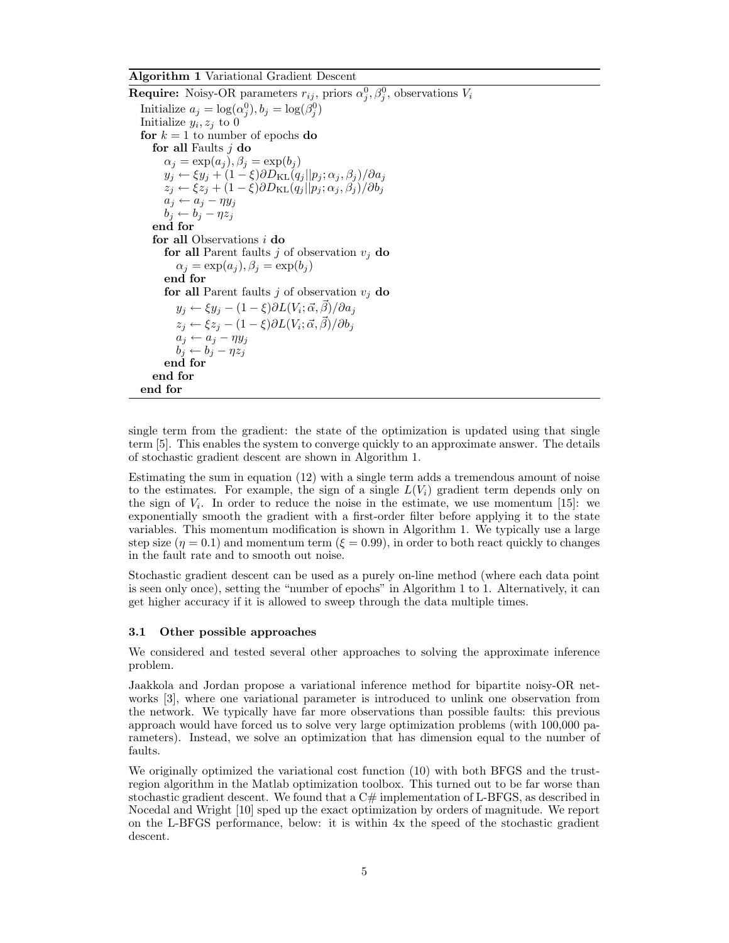#### Algorithm 1 Variational Gradient Descent

**Require:** Noisy-OR parameters  $r_{ij}$ , priors  $\alpha_j^0, \beta_j^0$ , observations  $V_i$ Initialize  $a_j = \log(\alpha_j^0), b_j = \log(\beta_j^0)$ Initialize  $y_i, z_j$  to 0 for  $k = 1$  to number of epochs do for all Faults  $j$  do  $\alpha_j = \exp(a_j), \beta_j = \exp(b_j)$  $y_j \leftarrow \xi y_j + (1 - \xi) \partial D_{\text{KL}}(q_j || p_j; \alpha_j, \beta_j) / \partial a_j$  $z_j \leftarrow \xi z_j + (1 - \xi) \partial D_{\text{KL}}(q_j || p_j; \alpha_j, \beta_j) / \partial b_j$  $a_j \leftarrow a_j - \eta y_j$  $b_j \leftarrow b_j - \eta z_j$ end for for all Observations  $i$  do for all Parent faults j of observation  $v_i$  do  $\alpha_i = \exp(a_i), \beta_i = \exp(b_i)$ end for for all Parent faults *j* of observation  $v_i$  do  $y_j \leftarrow \xi y_j - (1 - \xi) \partial L(V_i; \vec{\alpha}, \vec{\beta}) / \partial a_j$  $z_j \leftarrow \xi z_j - (1 - \xi) \partial L(V_i; \vec{\alpha}, \vec{\beta}) / \partial b_j$  $a_j \leftarrow a_j - \eta y_j$  $b_j \leftarrow b_j - \eta z_j$ end for end for end for

single term from the gradient: the state of the optimization is updated using that single term [5]. This enables the system to converge quickly to an approximate answer. The details of stochastic gradient descent are shown in Algorithm 1.

Estimating the sum in equation (12) with a single term adds a tremendous amount of noise to the estimates. For example, the sign of a single  $L(V_i)$  gradient term depends only on the sign of  $V_i$ . In order to reduce the noise in the estimate, we use momentum [15]: we exponentially smooth the gradient with a first-order filter before applying it to the state variables. This momentum modification is shown in Algorithm 1. We typically use a large step size  $(\eta = 0.1)$  and momentum term  $(\xi = 0.99)$ , in order to both react quickly to changes in the fault rate and to smooth out noise.

Stochastic gradient descent can be used as a purely on-line method (where each data point is seen only once), setting the "number of epochs" in Algorithm 1 to 1. Alternatively, it can get higher accuracy if it is allowed to sweep through the data multiple times.

#### 3.1 Other possible approaches

We considered and tested several other approaches to solving the approximate inference problem.

Jaakkola and Jordan propose a variational inference method for bipartite noisy-OR networks [3], where one variational parameter is introduced to unlink one observation from the network. We typically have far more observations than possible faults: this previous approach would have forced us to solve very large optimization problems (with 100,000 parameters). Instead, we solve an optimization that has dimension equal to the number of faults.

We originally optimized the variational cost function (10) with both BFGS and the trustregion algorithm in the Matlab optimization toolbox. This turned out to be far worse than stochastic gradient descent. We found that a  $C#$  implementation of L-BFGS, as described in Nocedal and Wright [10] sped up the exact optimization by orders of magnitude. We report on the L-BFGS performance, below: it is within 4x the speed of the stochastic gradient descent.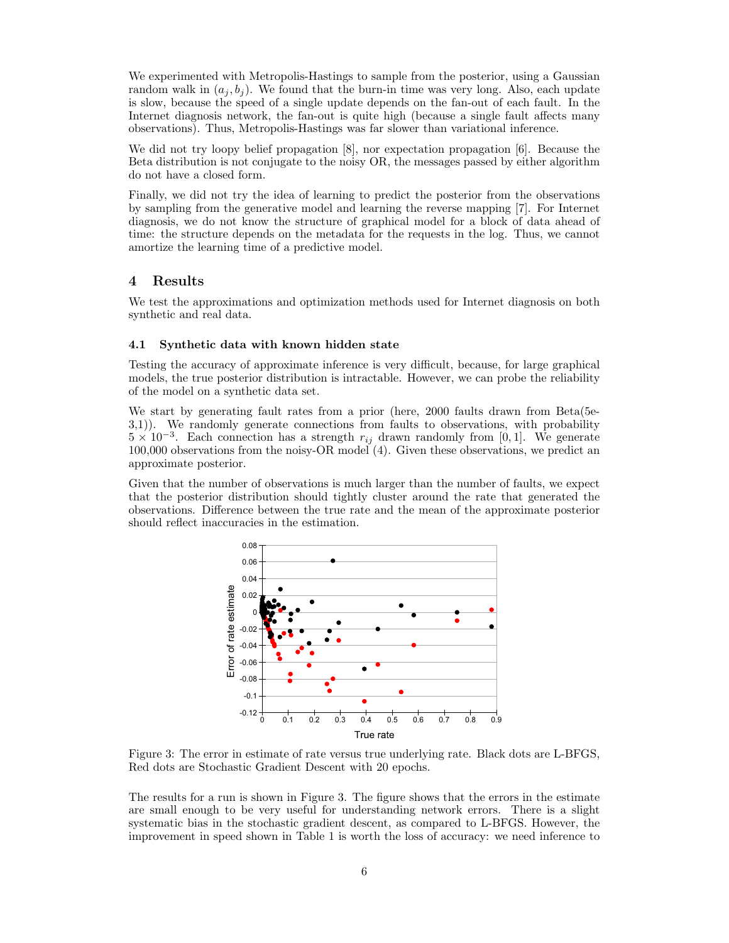We experimented with Metropolis-Hastings to sample from the posterior, using a Gaussian random walk in  $(a_j, b_j)$ . We found that the burn-in time was very long. Also, each update is slow, because the speed of a single update depends on the fan-out of each fault. In the Internet diagnosis network, the fan-out is quite high (because a single fault affects many observations). Thus, Metropolis-Hastings was far slower than variational inference.

We did not try loopy belief propagation [8], nor expectation propagation [6]. Because the Beta distribution is not conjugate to the noisy OR, the messages passed by either algorithm do not have a closed form.

Finally, we did not try the idea of learning to predict the posterior from the observations by sampling from the generative model and learning the reverse mapping [7]. For Internet diagnosis, we do not know the structure of graphical model for a block of data ahead of time: the structure depends on the metadata for the requests in the log. Thus, we cannot amortize the learning time of a predictive model.

## 4 Results

We test the approximations and optimization methods used for Internet diagnosis on both synthetic and real data.

#### 4.1 Synthetic data with known hidden state

Testing the accuracy of approximate inference is very difficult, because, for large graphical models, the true posterior distribution is intractable. However, we can probe the reliability of the model on a synthetic data set.

We start by generating fault rates from a prior (here, 2000 faults drawn from Beta(5e-3,1)). We randomly generate connections from faults to observations, with probability  $5 \times 10^{-3}$ . Each connection has a strength  $r_{ij}$  drawn randomly from [0, 1]. We generate 100,000 observations from the noisy-OR model (4). Given these observations, we predict an approximate posterior.

Given that the number of observations is much larger than the number of faults, we expect that the posterior distribution should tightly cluster around the rate that generated the observations. Difference between the true rate and the mean of the approximate posterior should reflect inaccuracies in the estimation.



Figure 3: The error in estimate of rate versus true underlying rate. Black dots are L-BFGS, Red dots are Stochastic Gradient Descent with 20 epochs.

The results for a run is shown in Figure 3. The figure shows that the errors in the estimate are small enough to be very useful for understanding network errors. There is a slight systematic bias in the stochastic gradient descent, as compared to L-BFGS. However, the improvement in speed shown in Table 1 is worth the loss of accuracy: we need inference to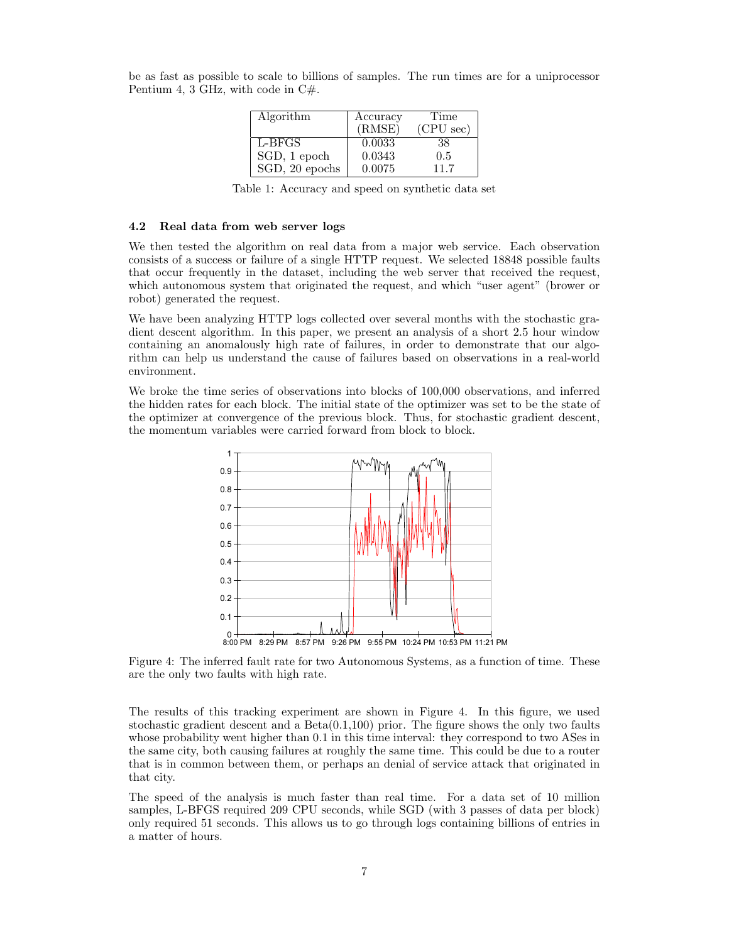be as fast as possible to scale to billions of samples. The run times are for a uniprocessor Pentium 4, 3 GHz, with code in  $C#$ .

| Algorithm      | Accuracy | Time                |
|----------------|----------|---------------------|
|                | (RMSE)   | $(CPU \text{ sec})$ |
| L-BFGS         | 0.0033   | 38                  |
| SGD, 1 epoch   | 0.0343   | $0.5^{\circ}$       |
| SGD, 20 epochs | 0.0075   | 117                 |

Table 1: Accuracy and speed on synthetic data set

#### 4.2 Real data from web server logs

We then tested the algorithm on real data from a major web service. Each observation consists of a success or failure of a single HTTP request. We selected 18848 possible faults that occur frequently in the dataset, including the web server that received the request, which autonomous system that originated the request, and which "user agent" (brower or robot) generated the request.

We have been analyzing HTTP logs collected over several months with the stochastic gradient descent algorithm. In this paper, we present an analysis of a short 2.5 hour window containing an anomalously high rate of failures, in order to demonstrate that our algorithm can help us understand the cause of failures based on observations in a real-world environment.

We broke the time series of observations into blocks of 100,000 observations, and inferred the hidden rates for each block. The initial state of the optimizer was set to be the state of the optimizer at convergence of the previous block. Thus, for stochastic gradient descent, the momentum variables were carried forward from block to block.



Figure 4: The inferred fault rate for two Autonomous Systems, as a function of time. These are the only two faults with high rate.

The results of this tracking experiment are shown in Figure 4. In this figure, we used stochastic gradient descent and a  $Beta(0.1,100)$  prior. The figure shows the only two faults whose probability went higher than 0.1 in this time interval: they correspond to two ASes in the same city, both causing failures at roughly the same time. This could be due to a router that is in common between them, or perhaps an denial of service attack that originated in that city.

The speed of the analysis is much faster than real time. For a data set of 10 million samples, L-BFGS required 209 CPU seconds, while SGD (with 3 passes of data per block) only required 51 seconds. This allows us to go through logs containing billions of entries in a matter of hours.